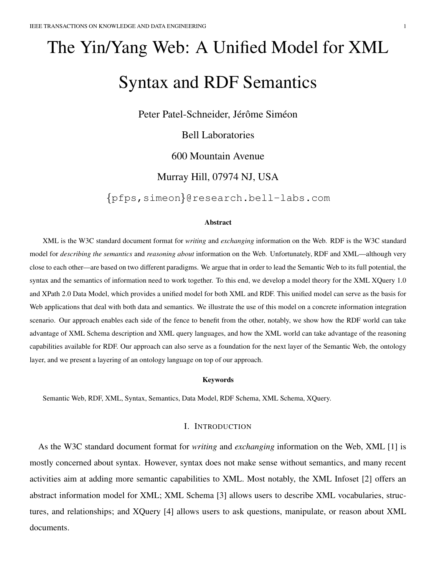# The Yin/Yang Web: A Unified Model for XML Syntax and RDF Semantics

Peter Patel-Schneider, Jérôme Siméon

Bell Laboratories

600 Mountain Avenue

# Murray Hill, 07974 NJ, USA

 $\{\texttt{pfps}, \texttt{simeon}\}$ @research.bell-labs.com

#### **Abstract**

XML is the W3C standard document format for *writing* and *exchanging* information on the Web. RDF is the W3C standard model for *describing the semantics* and *reasoning about* information on the Web. Unfortunately, RDF and XML—although very close to each other—are based on two different paradigms. We argue that in order to lead the Semantic Web to its full potential, the syntax and the semantics of information need to work together. To this end, we develop a model theory for the XML XQuery 1.0 and XPath 2.0 Data Model, which provides a unified model for both XML and RDF. This unified model can serve as the basis for Web applications that deal with both data and semantics. We illustrate the use of this model on a concrete information integration scenario. Our approach enables each side of the fence to benefit from the other, notably, we show how the RDF world can take advantage of XML Schema description and XML query languages, and how the XML world can take advantage of the reasoning capabilities available for RDF. Our approach can also serve as a foundation for the next layer of the Semantic Web, the ontology layer, and we present a layering of an ontology language on top of our approach.

#### **Keywords**

Semantic Web, RDF, XML, Syntax, Semantics, Data Model, RDF Schema, XML Schema, XQuery.

#### I. INTRODUCTION

As the W3C standard document format for *writing* and *exchanging* information on the Web, XML [1] is mostly concerned about syntax. However, syntax does not make sense without semantics, and many recent activities aim at adding more semantic capabilities to XML. Most notably, the XML Infoset [2] offers an abstract information model for XML; XML Schema [3] allows users to describe XML vocabularies, structures, and relationships; and XQuery [4] allows users to ask questions, manipulate, or reason about XML documents.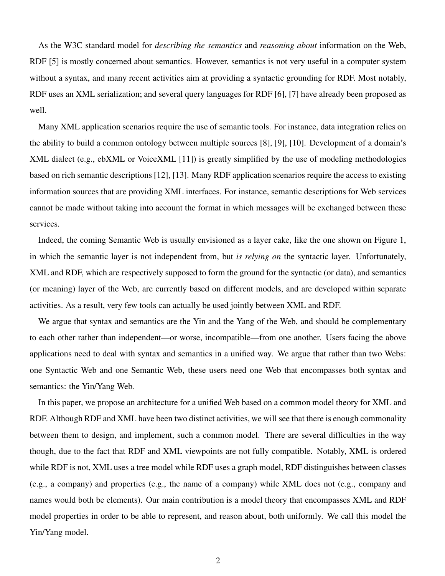As the W3C standard model for *describing the semantics* and *reasoning about* information on the Web, RDF [5] is mostly concerned about semantics. However, semantics is not very useful in a computer system without a syntax, and many recent activities aim at providing a syntactic grounding for RDF. Most notably, RDF uses an XML serialization; and several query languages for RDF [6], [7] have already been proposed as well.

Many XML application scenarios require the use of semantic tools. For instance, data integration relies on the ability to build a common ontology between multiple sources [8], [9], [10]. Development of a domain's XML dialect (e.g., ebXML or VoiceXML [11]) is greatly simplified by the use of modeling methodologies based on rich semantic descriptions [12], [13]. Many RDF application scenarios require the access to existing information sources that are providing XML interfaces. For instance, semantic descriptions for Web services cannot be made without taking into account the format in which messages will be exchanged between these services.

Indeed, the coming Semantic Web is usually envisioned as a layer cake, like the one shown on Figure 1, in which the semantic layer is not independent from, but *is relying on* the syntactic layer. Unfortunately, XML and RDF, which are respectively supposed to form the ground for the syntactic (or data), and semantics (or meaning) layer of the Web, are currently based on different models, and are developed within separate activities. As a result, very few tools can actually be used jointly between XML and RDF.

We argue that syntax and semantics are the Yin and the Yang of the Web, and should be complementary to each other rather than independent—or worse, incompatible—from one another. Users facing the above applications need to deal with syntax and semantics in a unified way. We argue that rather than two Webs: one Syntactic Web and one Semantic Web, these users need one Web that encompasses both syntax and semantics: the Yin/Yang Web.

In this paper, we propose an architecture for a unified Web based on a common model theory for XML and RDF. Although RDF and XML have been two distinct activities, we will see that there is enough commonality between them to design, and implement, such a common model. There are several difficulties in the way though, due to the fact that RDF and XML viewpoints are not fully compatible. Notably, XML is ordered while RDF is not, XML uses a tree model while RDF uses a graph model, RDF distinguishes between classes (e.g., a company) and properties (e.g., the name of a company) while XML does not (e.g., company and names would both be elements). Our main contribution is a model theory that encompasses XML and RDF model properties in order to be able to represent, and reason about, both uniformly. We call this model the Yin/Yang model.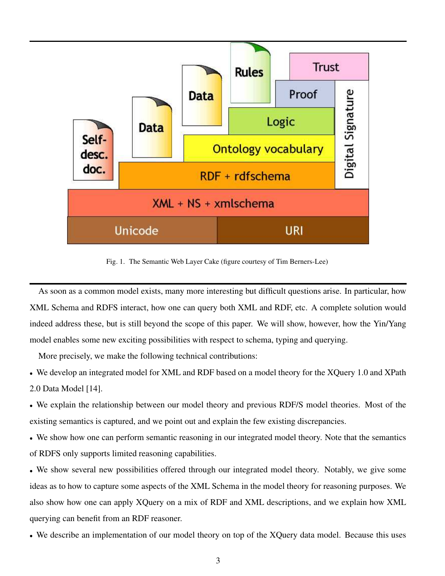

Fig. 1. The Semantic Web Layer Cake (figure courtesy of Tim Berners-Lee)

As soon as a common model exists, many more interesting but difficult questions arise. In particular, how XML Schema and RDFS interact, how one can query both XML and RDF, etc. A complete solution would indeed address these, but is still beyond the scope of this paper. We will show, however, how the Yin/Yang model enables some new exciting possibilities with respect to schema, typing and querying.

More precisely, we make the following technical contributions:

- We develop an integrated model for XML and RDF based on a model theory for the XQuery 1.0 and XPath 2.0 Data Model [14].

- We explain the relationship between our model theory and previous RDF/S model theories. Most of the existing semantics is captured, and we point out and explain the few existing discrepancies.
- We show how one can perform semantic reasoning in our integrated model theory. Note that the semantics of RDFS only supports limited reasoning capabilities.

- We show several new possibilities offered through our integrated model theory. Notably, we give some ideas as to how to capture some aspects of the XML Schema in the model theory for reasoning purposes. We also show how one can apply XQuery on a mix of RDF and XML descriptions, and we explain how XML querying can benefit from an RDF reasoner.

- We describe an implementation of our model theory on top of the XQuery data model. Because this uses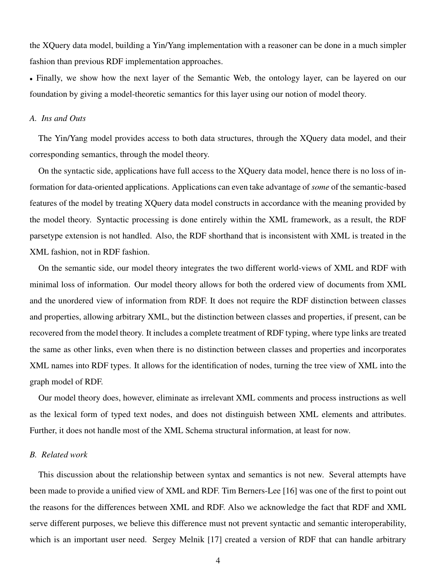the XQuery data model, building a Yin/Yang implementation with a reasoner can be done in a much simpler fashion than previous RDF implementation approaches.

- Finally, we show how the next layer of the Semantic Web, the ontology layer, can be layered on our foundation by giving a model-theoretic semantics for this layer using our notion of model theory.

# *A. Ins and Outs*

The Yin/Yang model provides access to both data structures, through the XQuery data model, and their corresponding semantics, through the model theory.

On the syntactic side, applications have full access to the XQuery data model, hence there is no loss of information for data-oriented applications. Applications can even take advantage of *some* of the semantic-based features of the model by treating XQuery data model constructs in accordance with the meaning provided by the model theory. Syntactic processing is done entirely within the XML framework, as a result, the RDF parsetype extension is not handled. Also, the RDF shorthand that is inconsistent with XML is treated in the XML fashion, not in RDF fashion.

On the semantic side, our model theory integrates the two different world-views of XML and RDF with minimal loss of information. Our model theory allows for both the ordered view of documents from XML and the unordered view of information from RDF. It does not require the RDF distinction between classes and properties, allowing arbitrary XML, but the distinction between classes and properties, if present, can be recovered from the model theory. It includes a complete treatment of RDF typing, where type links are treated the same as other links, even when there is no distinction between classes and properties and incorporates XML names into RDF types. It allows for the identification of nodes, turning the tree view of XML into the graph model of RDF.

Our model theory does, however, eliminate as irrelevant XML comments and process instructions as well as the lexical form of typed text nodes, and does not distinguish between XML elements and attributes. Further, it does not handle most of the XML Schema structural information, at least for now.

#### *B. Related work*

This discussion about the relationship between syntax and semantics is not new. Several attempts have been made to provide a unified view of XML and RDF. Tim Berners-Lee [16] was one of the first to point out the reasons for the differences between XML and RDF. Also we acknowledge the fact that RDF and XML serve different purposes, we believe this difference must not prevent syntactic and semantic interoperability, which is an important user need. Sergey Melnik [17] created a version of RDF that can handle arbitrary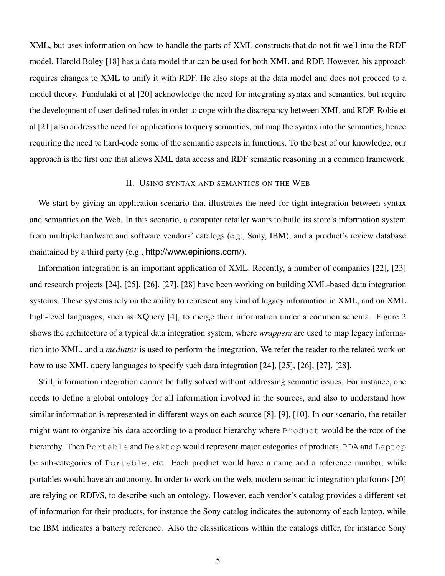XML, but uses information on how to handle the parts of XML constructs that do not fit well into the RDF model. Harold Boley [18] has a data model that can be used for both XML and RDF. However, his approach requires changes to XML to unify it with RDF. He also stops at the data model and does not proceed to a model theory. Fundulaki et al [20] acknowledge the need for integrating syntax and semantics, but require the development of user-defined rules in order to cope with the discrepancy between XML and RDF. Robie et al [21] also address the need for applications to query semantics, but map the syntax into the semantics, hence requiring the need to hard-code some of the semantic aspects in functions. To the best of our knowledge, our approach is the first one that allows XML data access and RDF semantic reasoning in a common framework.

# II. USING SYNTAX AND SEMANTICS ON THE WEB

We start by giving an application scenario that illustrates the need for tight integration between syntax and semantics on the Web. In this scenario, a computer retailer wants to build its store's information system from multiple hardware and software vendors' catalogs (e.g., Sony, IBM), and a product's review database maintained by a third party (e.g., http://www.epinions.com/).

Information integration is an important application of XML. Recently, a number of companies [22], [23] and research projects [24], [25], [26], [27], [28] have been working on building XML-based data integration systems. These systems rely on the ability to represent any kind of legacy information in XML, and on XML high-level languages, such as XQuery [4], to merge their information under a common schema. Figure 2 shows the architecture of a typical data integration system, where *wrappers* are used to map legacy information into XML, and a *mediator* is used to perform the integration. We refer the reader to the related work on how to use XML query languages to specify such data integration [24], [25], [26], [27], [28].

Still, information integration cannot be fully solved without addressing semantic issues. For instance, one needs to define a global ontology for all information involved in the sources, and also to understand how similar information is represented in different ways on each source [8], [9], [10]. In our scenario, the retailer might want to organize his data according to a product hierarchy where Product would be the root of the hierarchy. Then Portable and Desktop would represent major categories of products, PDA and Laptop be sub-categories of Portable, etc. Each product would have a name and a reference number, while portables would have an autonomy. In order to work on the web, modern semantic integration platforms [20] are relying on RDF/S, to describe such an ontology. However, each vendor's catalog provides a different set of information for their products, for instance the Sony catalog indicates the autonomy of each laptop, while the IBM indicates a battery reference. Also the classifications within the catalogs differ, for instance Sony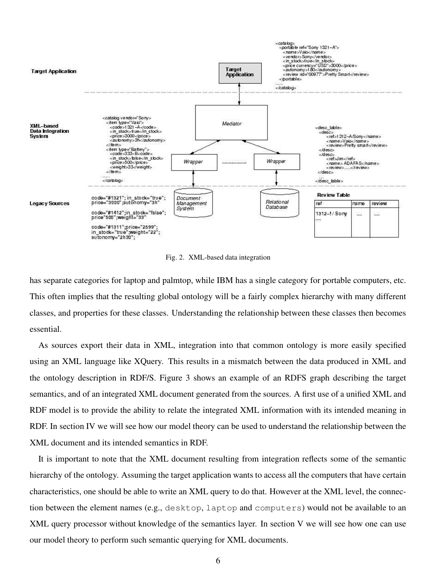

Fig. 2. XML-based data integration

has separate categories for laptop and palmtop, while IBM has a single category for portable computers, etc. This often implies that the resulting global ontology will be a fairly complex hierarchy with many different classes, and properties for these classes. Understanding the relationship between these classes then becomes essential.

As sources export their data in XML, integration into that common ontology is more easily specified using an XML language like XQuery. This results in a mismatch between the data produced in XML and the ontology description in RDF/S. Figure 3 shows an example of an RDFS graph describing the target semantics, and of an integrated XML document generated from the sources. A first use of a unified XML and RDF model is to provide the ability to relate the integrated XML information with its intended meaning in RDF. In section IV we will see how our model theory can be used to understand the relationship between the XML document and its intended semantics in RDF.

It is important to note that the XML document resulting from integration reflects some of the semantic hierarchy of the ontology. Assuming the target application wants to access all the computers that have certain characteristics, one should be able to write an XML query to do that. However at the XML level, the connection between the element names (e.g., desktop, laptop and computers) would not be available to an XML query processor without knowledge of the semantics layer. In section V we will see how one can use our model theory to perform such semantic querying for XML documents.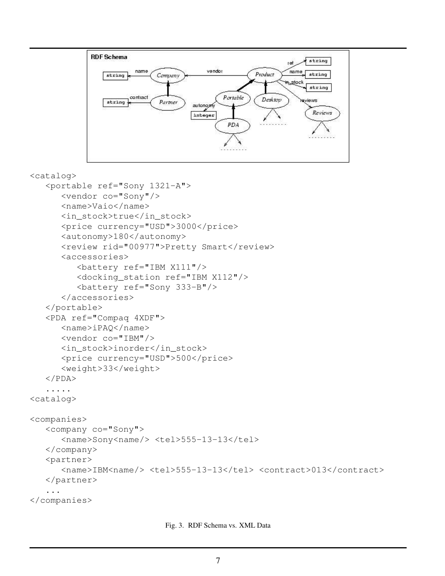

```
<catalog>
```

```
<portable ref="Sony 1321-A">
      <vendor co="Sony"/>
      <name>Vaio</name>
      <in_stock>true</in_stock>
      <price currency="USD">3000</price>
      <autonomy>180</autonomy>
      <review rid="00977">Pretty Smart</review>
      <accessories>
         <battery ref="IBM X111"/>
         <docking_station ref="IBM X112"/>
         <battery ref="Sony 333-B"/>
      </accessories>
   </portable>
   <PDA ref="Compaq 4XDF">
      <name>iPAQ</name>
      <vendor co="IBM"/>
      <in_stock>inorder</in_stock>
      <price currency="USD">500</price>
      <weight>33</weight>
   \langle/PDA\rangle.....
<catalog>
<companies>
   <company co="Sony">
      <name>Sony<name/><tel>555-13-13</tel>
   </company>
   <partner>
      <name>IBM<name/> <tel>555-13-13</tel> <contract>013</contract>
   </partner>
   ...
</companies>
```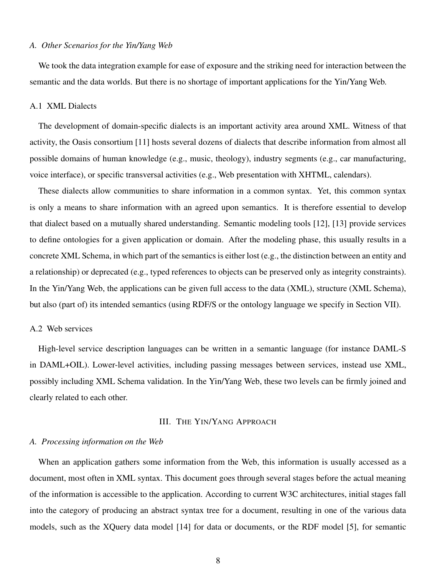## *A. Other Scenarios for the Yin/Yang Web*

We took the data integration example for ease of exposure and the striking need for interaction between the semantic and the data worlds. But there is no shortage of important applications for the Yin/Yang Web.

# A.1 XML Dialects

The development of domain-specific dialects is an important activity area around XML. Witness of that activity, the Oasis consortium [11] hosts several dozens of dialects that describe information from almost all possible domains of human knowledge (e.g., music, theology), industry segments (e.g., car manufacturing, voice interface), or specific transversal activities (e.g., Web presentation with XHTML, calendars).

These dialects allow communities to share information in a common syntax. Yet, this common syntax is only a means to share information with an agreed upon semantics. It is therefore essential to develop that dialect based on a mutually shared understanding. Semantic modeling tools [12], [13] provide services to define ontologies for a given application or domain. After the modeling phase, this usually results in a concrete XML Schema, in which part of the semantics is either lost (e.g., the distinction between an entity and a relationship) or deprecated (e.g., typed references to objects can be preserved only as integrity constraints). In the Yin/Yang Web, the applications can be given full access to the data (XML), structure (XML Schema), but also (part of) its intended semantics (using RDF/S or the ontology language we specify in Section VII).

## A.2 Web services

High-level service description languages can be written in a semantic language (for instance DAML-S in DAML+OIL). Lower-level activities, including passing messages between services, instead use XML, possibly including XML Schema validation. In the Yin/Yang Web, these two levels can be firmly joined and clearly related to each other.

# III. THE YIN/YANG APPROACH

#### *A. Processing information on the Web*

When an application gathers some information from the Web, this information is usually accessed as a document, most often in XML syntax. This document goes through several stages before the actual meaning of the information is accessible to the application. According to current W3C architectures, initial stages fall into the category of producing an abstract syntax tree for a document, resulting in one of the various data models, such as the XQuery data model [14] for data or documents, or the RDF model [5], for semantic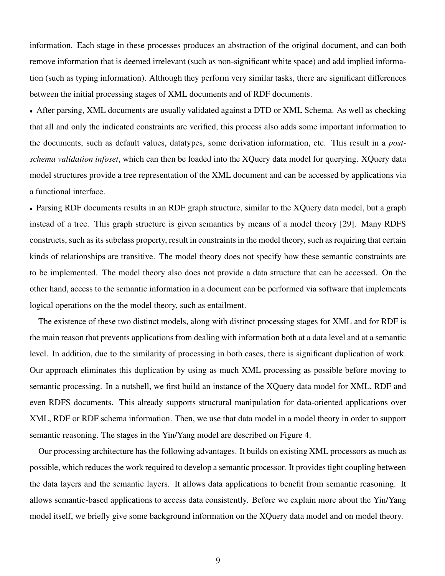information. Each stage in these processes produces an abstraction of the original document, and can both remove information that is deemed irrelevant (such as non-significant white space) and add implied information (such as typing information). Although they perform very similar tasks, there are significant differences between the initial processing stages of XML documents and of RDF documents.

- After parsing, XML documents are usually validated against a DTD or XML Schema. As well as checking that all and only the indicated constraints are verified, this process also adds some important information to the documents, such as default values, datatypes, some derivation information, etc. This result in a *postschema validation infoset*, which can then be loaded into the XQuery data model for querying. XQuery data model structures provide a tree representation of the XML document and can be accessed by applications via a functional interface.

- Parsing RDF documents results in an RDF graph structure, similar to the XQuery data model, but a graph instead of a tree. This graph structure is given semantics by means of a model theory [29]. Many RDFS constructs, such as its subclass property, result in constraints in the model theory, such as requiring that certain kinds of relationships are transitive. The model theory does not specify how these semantic constraints are to be implemented. The model theory also does not provide a data structure that can be accessed. On the other hand, access to the semantic information in a document can be performed via software that implements logical operations on the the model theory, such as entailment.

The existence of these two distinct models, along with distinct processing stages for XML and for RDF is the main reason that prevents applicationsfrom dealing with information both at a data level and at a semantic level. In addition, due to the similarity of processing in both cases, there is significant duplication of work. Our approach eliminates this duplication by using as much XML processing as possible before moving to semantic processing. In a nutshell, we first build an instance of the XQuery data model for XML, RDF and even RDFS documents. This already supports structural manipulation for data-oriented applications over XML, RDF or RDF schema information. Then, we use that data model in a model theory in order to support semantic reasoning. The stages in the Yin/Yang model are described on Figure 4.

Our processing architecture has the following advantages. It builds on existing XML processors as much as possible, which reduces the work required to develop a semantic processor. It provides tight coupling between the data layers and the semantic layers. It allows data applications to benefit from semantic reasoning. It allows semantic-based applications to access data consistently. Before we explain more about the Yin/Yang model itself, we briefly give some background information on the XQuery data model and on model theory.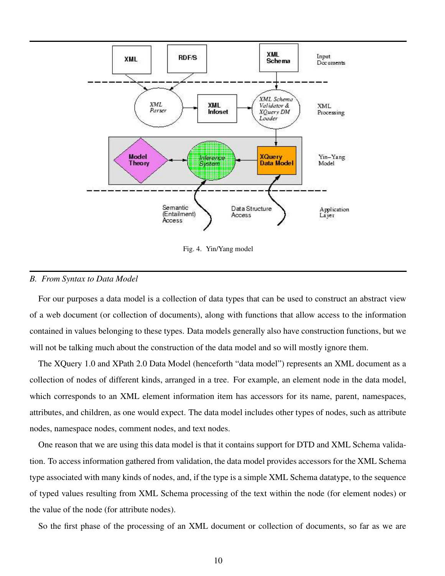

Fig. 4. Yin/Yang model

### *B. From Syntax to Data Model*

For our purposes a data model is a collection of data types that can be used to construct an abstract view of a web document (or collection of documents), along with functions that allow access to the information contained in values belonging to these types. Data models generally also have construction functions, but we will not be talking much about the construction of the data model and so will mostly ignore them.

The XQuery 1.0 and XPath 2.0 Data Model (henceforth "data model") represents an XML document as a collection of nodes of different kinds, arranged in a tree. For example, an element node in the data model, which corresponds to an XML element information item has accessors for its name, parent, namespaces, attributes, and children, as one would expect. The data model includes other types of nodes, such as attribute nodes, namespace nodes, comment nodes, and text nodes.

One reason that we are using this data model is that it contains support for DTD and XML Schema validation. To access information gathered from validation, the data model provides accessors for the XML Schema type associated with many kinds of nodes, and, if the type is a simple XML Schema datatype, to the sequence of typed values resulting from XML Schema processing of the text within the node (for element nodes) or the value of the node (for attribute nodes).

So the first phase of the processing of an XML document or collection of documents, so far as we are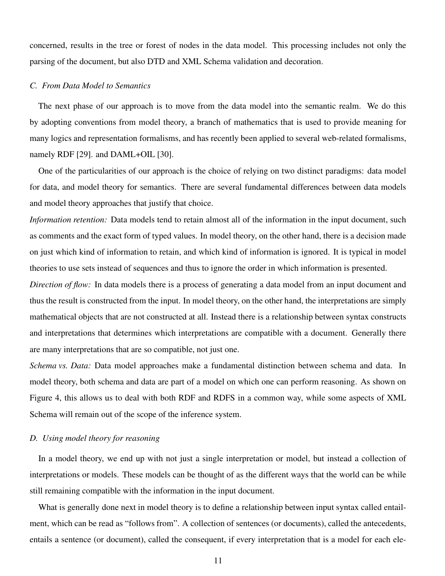concerned, results in the tree or forest of nodes in the data model. This processing includes not only the parsing of the document, but also DTD and XML Schema validation and decoration.

# *C. From Data Model to Semantics*

The next phase of our approach is to move from the data model into the semantic realm. We do this by adopting conventions from model theory, a branch of mathematics that is used to provide meaning for many logics and representation formalisms, and has recently been applied to several web-related formalisms, namely RDF [29]. and DAML+OIL [30].

One of the particularities of our approach is the choice of relying on two distinct paradigms: data model for data, and model theory for semantics. There are several fundamental differences between data models and model theory approaches that justify that choice.

*Information retention:* Data models tend to retain almost all of the information in the input document, such as comments and the exact form of typed values. In model theory, on the other hand, there is a decision made on just which kind of information to retain, and which kind of information is ignored. It is typical in model theories to use sets instead of sequences and thus to ignore the order in which information is presented.

*Direction of flow:* In data models there is a process of generating a data model from an input document and thus the result is constructed from the input. In model theory, on the other hand, the interpretations are simply mathematical objects that are not constructed at all. Instead there is a relationship between syntax constructs and interpretations that determines which interpretations are compatible with a document. Generally there are many interpretations that are so compatible, not just one.

*Schema vs. Data:* Data model approaches make a fundamental distinction between schema and data. In model theory, both schema and data are part of a model on which one can perform reasoning. As shown on Figure 4, this allows us to deal with both RDF and RDFS in a common way, while some aspects of XML Schema will remain out of the scope of the inference system.

# *D. Using model theory for reasoning*

In a model theory, we end up with not just a single interpretation or model, but instead a collection of interpretations or models. These models can be thought of as the different ways that the world can be while still remaining compatible with the information in the input document.

What is generally done next in model theory is to define a relationship between input syntax called entailment, which can be read as "follows from". A collection of sentences (or documents), called the antecedents, entails a sentence (or document), called the consequent, if every interpretation that is a model for each ele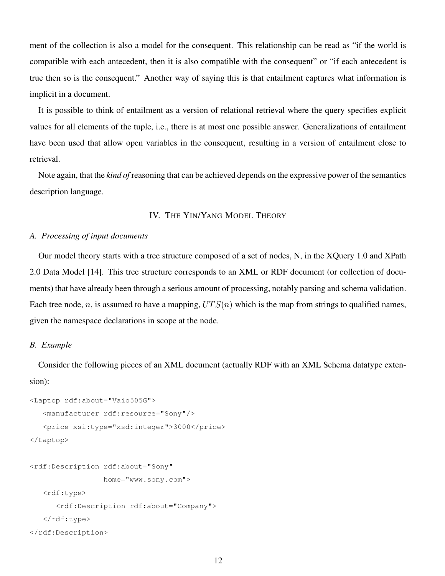ment of the collection is also a model for the consequent. This relationship can be read as "if the world is compatible with each antecedent, then it is also compatible with the consequent" or "if each antecedent is true then so is the consequent." Another way of saying this is that entailment captures what information is implicit in a document.

It is possible to think of entailment as a version of relational retrieval where the query specifies explicit values for all elements of the tuple, i.e., there is at most one possible answer. Generalizations of entailment have been used that allow open variables in the consequent, resulting in a version of entailment close to retrieval.

Note again, that the *kind of* reasoning that can be achieved depends on the expressive power of the semantics description language.

# IV. THE YIN/YANG MODEL THEORY

# *A. Processing of input documents*

Our model theory starts with a tree structure composed of a set of nodes, N, in the XQuery 1.0 and XPath 2.0 Data Model [14]. This tree structure corresponds to an XML or RDF document (or collection of documents) that have already been through a serious amount of processing, notably parsing and schema validation. Each tree node, n, is assumed to have a mapping,  $UTS(n)$  which is the map from strings to qualified names, given the namespace declarations in scope at the node.

# *B. Example*

Consider the following pieces of an XML document (actually RDF with an XML Schema datatype extension):

```
<Laptop rdf:about="Vaio505G">
   <manufacturer rdf:resource="Sony"/>
   <price xsi:type="xsd:integer">3000</price>
</Laptop>
```

```
<rdf:Description rdf:about="Sony"
                 home="www.sony.com">
   <rdf:type>
      <rdf:Description rdf:about="Company">
   </rdf:type>
</rdf:Description>
```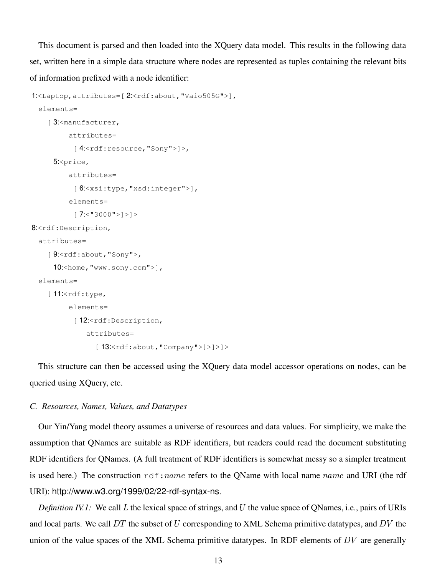This document is parsed and then loaded into the XQuery data model. This results in the following data set, written here in a simple data structure where nodes are represented as tuples containing the relevant bits of information prefixed with a node identifier:

```
1:<Laptop,attributes=[ 2:<rdf:about,"Vaio505G">],
 elements=
    [3:<manufacturer,
         attributes=
          [4:\text{ord}:\text{resource}, "\text{Sony"}\},
     5:<price,
         attributes=
          [6: \timesxsi:type, "xsd:integer">],
         elements=
          [7:1000" > ] >8:<rdf:Description,
 attributes=
    [ 9:<rdf:about,"Sony">,
     10:<home,"www.sony.com">],
 elements=
    [11:<rdf:type,
         elements=
          [ 12:<rdf:Description,
              attributes=
                [ 13:<rdf:about, "Company">]>]>
```
This structure can then be accessed using the XQuery data model accessor operations on nodes, can be queried using XQuery, etc.

## *C. Resources, Names, Values, and Datatypes*

Our Yin/Yang model theory assumes a universe of resources and data values. For simplicity, we make the assumption that QNames are suitable as RDF identifiers, but readers could read the document substituting RDF identifiers for QNames. (A full treatment of RDF identifiers is somewhat messy so a simpler treatment is used here.) The construction  $r df : name$  refers to the QName with local name *name* and URI (the rdf URI): http://www.w3.org/1999/02/22-rdf-syntax-ns.

*Definition IV.1:* We call  $L$  the lexical space of strings, and  $U$  the value space of QNames, i.e., pairs of URIs and local parts. We call  $DT$  the subset of U corresponding to XML Schema primitive datatypes, and  $DV$  the union of the value spaces of the XML Schema primitive datatypes. In RDF elements of  $DV$  are generally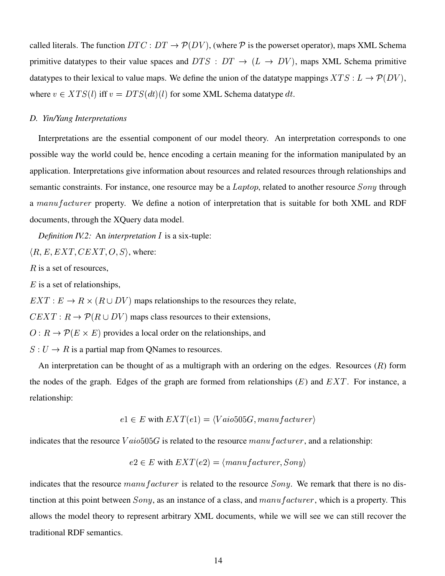called literals. The function  $DTC : DT \to \mathcal{P}(DV)$ , (where  $\mathcal P$  is the powerset operator), maps XML Schema primitive datatypes to their value spaces and  $DTS : DT \rightarrow (L \rightarrow DV)$ , maps XML Schema primitive datatypes to their lexical to value maps. We define the union of the datatype mappings  $XTS: L \rightarrow \mathcal{P}(DV)$ , where  $v \in XTS(l)$  iff  $v = DTS(dt)(l)$  for some XML Schema datatype dt.

# *D. Yin/Yang Interpretations*

Interpretations are the essential component of our model theory. An interpretation corresponds to one possible way the world could be, hence encoding a certain meaning for the information manipulated by an application. Interpretations give information about resources and related resources through relationships and semantic constraints. For instance, one resource may be a  $Laptop$ , related to another resource  $Sony$  through a manufacturer property. We define a notion of interpretation that is suitable for both XML and RDF documents, through the XQuery data model.

*Definition IV.2:* An *interpretation I* is a six-tuple:

 $\langle R, E, EXT, CEXT, O, S \rangle$ , where:

 $R$  is a set of resources,

 $E$  is a set of relationships,

 $EXT: E \to R \times (R \cup DV)$  maps relationships to the resources they relate,

 $CEXT: R \to \mathcal{P}(R \cup DV)$  maps class resources to their extensions,

 $O: R \to \mathcal{P}(E \times E)$  provides a local order on the relationships, and

 $S: U \to R$  is a partial map from QNames to resources.

An interpretation can be thought of as a multigraph with an ordering on the edges. Resources  $(R)$  form the nodes of the graph. Edges of the graph are formed from relationships  $(E)$  and  $EXT$ . For instance, a relationship:

$$
e1 \in E \text{ with } EXT(e1) = \langle Vaio505G, manufacturer \rangle
$$

indicates that the resource  $\text{V}aio505G$  is related to the resource  $\text{manufacturer}$ , and a relationship:

$$
e2 \in E \text{ with } EXT(e2) = \langle manufacturer, Sony \rangle
$$

indicates that the resource  $manufacturer$  is related to the resource  $Sony$ . We remark that there is no distinction at this point between  $Sony$ , as an instance of a class, and  $manufacturer$ , which is a property. This allows the model theory to represent arbitrary XML documents, while we will see we can still recover the traditional RDF semantics.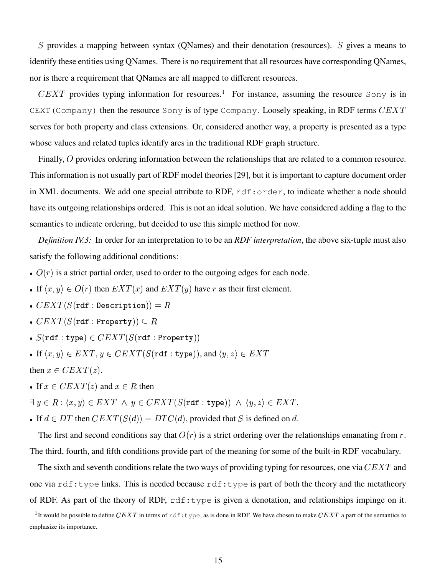S provides a mapping between syntax (QNames) and their denotation (resources).  $S$  gives a means to identify these entities using QNames. There is no requirement that all resources have corresponding QNames, nor is there a requirement that QNames are all mapped to different resources.

 $CEXT$  provides typing information for resources.<sup>1</sup> For instance, assuming the resource Sony is in CEXT (Company) then the resource Sony is of type Company. Loosely speaking, in RDF terms  $CEXT$ serves for both property and class extensions. Or, considered another way, a property is presented as a type whose values and related tuples identify arcs in the traditional RDF graph structure.

Finally, O provides ordering information between the relationships that are related to a common resource. This information is not usually part of RDF model theories [29], but it is important to capture document order in XML documents. We add one special attribute to RDF,  $\text{rdf:order}$ , to indicate whether a node should have its outgoing relationships ordered. This is not an ideal solution. We have considered adding a flag to the semantics to indicate ordering, but decided to use this simple method for now.

*Definition IV.3:* In order for an interpretation to to be an *RDF interpretation*, the above six-tuple must also satisfy the following additional conditions:

- $\bullet$   $O(r)$  is a strict partial order, used to order to the outgoing edges for each node.
- If  $\langle x, y \rangle \in O(r)$  then  $EXT(x)$  and  $EXT(y)$  have r as their first element.
- $\bullet$   $CEXT(S(rdf:Description)) = R$
- $\bullet$   $CEXT(S(\text{rdf : Property})) \subset R$
- $\bullet$   $S(\mathtt{rdf:type}) \in CEXT(S(\mathtt{rdf:Property}))$
- If  $\langle x,y\rangle \in EXT,$   $y\in CEXT(S(\texttt{rdf}: \texttt{type})),$  and  $\langle y,z\rangle \in EXT$

then  $x \in CEXT(z)$ .

- If  $x \in \mathbb{C}EXT(z)$  and  $x \in R$  then
- $\exists y \in R : \langle x, y \rangle \in EXT \ \land \ y \in CEXT(S(\texttt{rdf}: \texttt{type})) \ \land \ \langle y, z \rangle \in EXT.$
- If  $d \in DT$  then  $CEXT(S(d)) = DTC(d)$ , provided that S is defined on d.

The first and second conditions say that  $O(r)$  is a strict ordering over the relationships emanating from r. The third, fourth, and fifth conditions provide part of the meaning for some of the built-in RDF vocabulary.

The sixth and seventh conditions relate the two ways of providing typing for resources, one via  $CEXT$  and one via rdf:type links. This is needed because rdf:type is part of both the theory and the metatheory of RDF. As part of the theory of RDF, rdf:type is given a denotation, and relationships impinge on it.

<sup>&</sup>lt;sup>1</sup>It would be possible to define CEXT in terms of rdf:type, as is done in RDF. We have chosen to make CEXT a part of the semantics to emphasize its importance.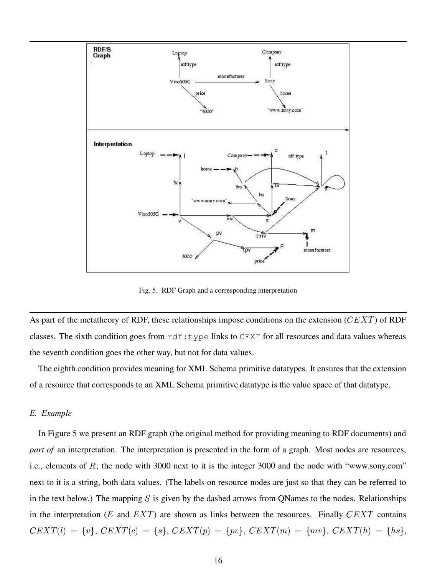

Fig. 5. RDF Graph and a corresponding interpretation

As part of the metatheory of RDF, these relationships impose conditions on the extension ( $CEXT$ ) of RDF classes. The sixth condition goes from  $\text{rdf:type}$  links to CEXT for all resources and data values whereas the seventh condition goes the other way, but not for data values.

The eighth condition provides meaning for XML Schema primitive datatypes. It ensures that the extension of a resource that corresponds to an XML Schema primitive datatype is the value space of that datatype.

## *E. Example*

In Figure 5 we present an RDF graph (the original method for providing meaning to RDF documents) and *part of* an interpretation. The interpretation is presented in the form of a graph. Most nodes are resources, i.e., elements of  $R$ ; the node with 3000 next to it is the integer 3000 and the node with "www.sony.com" next to it is a string, both data values. (The labels on resource nodes are just so that they can be referred to in the text below.) The mapping  $S$  is given by the dashed arrows from QNames to the nodes. Relationships in the interpretation ( $E$  and  $EXT$ ) are shown as links between the resources. Finally  $CEXT$  contains  $CEXT(l) = \{v\}, \, CEXT(c) = \{s\}, \, CEXT(p) = \{pv\}, \, CEXT(m) = \{mv\}, \, CEXT(h) = \{hs\},$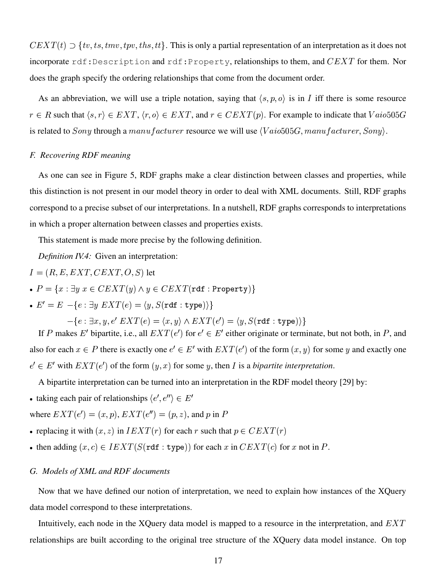$CEXT(t) \supset \{tv, ts, tmv, typ, ths, tt\}$ . This is only a partial representation of an interpretation as it does not incorporate rdf: Description and rdf: Property, relationships to them, and  $CEXT$  for them. Nor does the graph specify the ordering relationships that come from the document order.

As an abbreviation, we will use a triple notation, saying that  $\langle s, p, o \rangle$  is <sup>&</sup>lt;  $\langle \varrho, \varrho \rangle$  is in I iff there is some resource  $r \in R$  such that  $\langle s, r \rangle \in EXT, \langle r, o \rangle \in EXT$ , and  $r \in CEXT(p)$ . For example to indicate that  $\text{V}aio505G$ is related to Sony through a manufacturer resource we will use  $\langle Vaio505G, manufacturer, Sony \rangle$ .

## *F. Recovering RDF meaning*

As one can see in Figure 5, RDF graphs make a clear distinction between classes and properties, while this distinction is not present in our model theory in order to deal with XML documents. Still, RDF graphs correspond to a precise subset of our interpretations. In a nutshell, RDF graphs corresponds to interpretations in which a proper alternation between classes and properties exists.

This statement is made more precise by the following definition.

*Definition IV.4:* Given an interpretation:

- $I = (R, E, EXT, CEXT, O, S)$  let
- $P = \{x : \exists u \; x \in CEXT(u) \land u \in CEXT(\texttt{rdf : Property})\}$
- $E'=E\ -\{e:\exists u\ EXT(e)=\langle u, S({\tt rdf}:{\tt tv}% )\ |\ u=(u,v)\}\ =\sum_{u\in V(G)}\sum_{v\in V(G)}\sum_{v\in V(G)}\sum_{v\in V(G)}\sum_{v\in V(G)}\sum_{v\in V(G)}\sum_{v\in V(G)}\sum_{v\in V(G)}\sum_{v\in V(G)}\sum_{v\in V(G)}\sum_{v\in V(G)}\sum_{v\in V(G)}\sum_{v\in V(G)}\sum_{v\in V(G)}\sum_{v\in V(G)}\sum_{v\in V(G)}\sum_{v\in V(G)}\sum_{v\in V(G)}\sum_{v\in V(G)}\sum_{v\in$  q{rs8z\_8y>u{UI

 $-\{e:\exists x.\,u.\,e'\,EXT\}$  $e^\prime \;EXT(e)=\langle x,y\rangle \wedge \;EXT(e^\prime)=\langle y,S(\texttt{rdf}: \texttt{ty})\rangle$  .qrs8z{8yu{UA

If P makes E' bipartite, i.e., all  $EXT(e')$  for  $e' \in E'$  either originate or terminate, but not both, in P, and also for each  $x \in P$  there is exactly one  $e' \in E'$  with  $EXT(e')$  of the form  $(x, y)$  for some y and exactly one - - - - $\Psi \in E'$  with  $EXT(e')$  of the form  $(y, x)$  for some y, then I is a *bipartite interpretation*.

A bipartite interpretation can be turned into an interpretation in the RDF model theory [29] by:

• taking each pair of relationships  $\langle e', e'' \rangle \in R$  $\theta$ <sup>"</sup> $\theta$   $\in E'$ 

where  $EXT(e') = (x, p)$ ,  $EXT(e'') = (p, z)$ , and p in P

- replacing it with  $(x, z)$  in  $IEXT(r)$  for each r such that  $p \in CEXT(r)$
- then adding  $(x, c) \in IEXT(S(\text{rdf}: \text{type}))$  for each x in  $CEXT(c)$  for x not in P.

## *G. Models of XML and RDF documents*

Now that we have defined our notion of interpretation, we need to explain how instances of the XQuery data model correspond to these interpretations.

Intuitively, each node in the XQuery data model is mapped to a resource in the interpretation, and  $EXT$ relationships are built according to the original tree structure of the XQuery data model instance. On top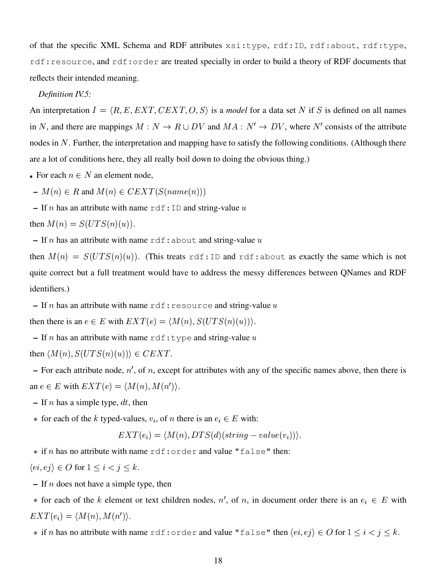of that the specific XML Schema and RDF attributes xsi:type, rdf:ID, rdf:about, rdf:type, rdf:resource, and rdf:order are treated specially in order to build a theory of RDF documents that reflects their intended meaning.

## *Definition IV.5:*

An interpretation  $I = \langle R, E, EXT, CEXT, O, S \rangle$  is a *model* for a data set N if S is defined on all names in N, and there are mappings  $M : N \to R \cup DV$  and  $MA : N' \to DV$ , where N' consists of the attribute nodes in  $N$ . Further, the interpretation and mapping have to satisfy the following conditions. (Although there are a lot of conditions here, they all really boil down to doing the obvious thing.)

- For each  $n \in N$  an element node,
- $\blacktriangleright M(n) \in R$  and  $M(n) \in CEXT(S(name(n)))$
- **–** If *n* has an attribute with name  $r df$ : ID and string-value  $u$

then  $M(n) = S(UTS(n)(u)).$ 

**–** If *n* has an attribute with name  $rdf: about and string-value u$ 

then  $M(n) = S(UTS(n)(u))$ . (This treats rdf:ID and rdf:about as exactly the same which is not quite correct but a full treatment would have to address the messy differences between QNames and RDF identifiers.)

**–** If *n* has an attribute with name  $rdf$ : resource and string-value  $u$ 

then there is an  $e \in E$  with  $EXT(e) = \langle M(n), S(UTS(n)(u)) \rangle$ .

**–** If *n* has an attribute with name  $\text{rdf:type}$  and string-value *u* 

then  $\langle M(n), S(UTS(n)(u)) \rangle \in CEXT$ .

 $\blacktriangle$  For each attribute node,  $n'$ , of  $n$ , except for attributes with any of the specific names above, then there is an  $e \in E$  with  $EXT(e) = \langle M(n), M(n') \rangle$ .

 $\blacksquare$  If *n* has a simple type, *dt*, then

\* for each of the k typed-values,  $v_i$ , of n there is an  $e_i \in E$  with:

$$
EXT(e_i)=\langle M(n),DTS(d)(string-value(v_i))\rangle.
$$

 $*$  if  $n$  has no attribute with name  $\text{rdf:order}$  and value " $\text{false}$ " then:

 $\langle ei, ej \rangle \in O$  for  $1 \leq i < j \leq k$ .

**–** If does not have a simple type, then

\* for each of the k element or text children nodes, n', of n, in document order there is an  $e_i \in E$  with  $EXT(e_i)=\langle M(n),M(n')\rangle.$ 

 $*$  if *n* has no attribute with name rdf:order and value "false" then  $\langle ei, ej \rangle \in O$  for  $1 \leq i < j \leq k$ .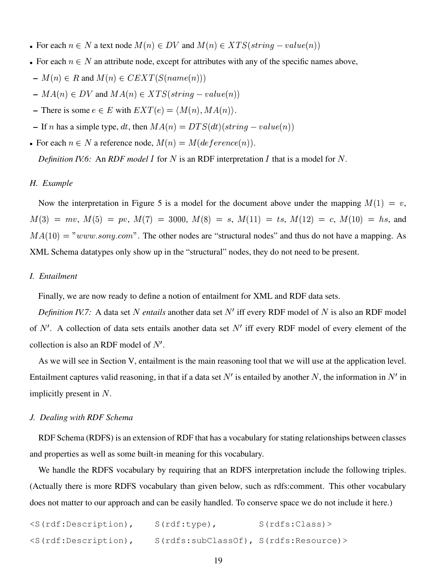- For each  $n \in N$  a text node  $M(n) \in DV$  and  $M(n) \in XTS(string-value(n))$
- For each  $n \in N$  an attribute node, except for attributes with any of the specific names above,
- $-M(n) \in R$  and  $M(n) \in CEXT(S(name(n)))$
- $-MA(n) \in DV$  and  $MA(n) \in XTS(string-value(n))$
- **–** There is some  $e \in E$  with  $EXT(e) = \langle M(n), MA(n) \rangle$ .
- **–** If *n* has a simple type, dt, then  $MA(n) = DTS(dt)(string-value(n))$
- For each  $n \in N$  a reference node,  $M(n) = M(deference(n)).$

*Definition IV.6:* An *RDF model I* for N is an RDF interpretation I that is a model for N.

## *H. Example*

Now the interpretation in Figure 5 is a model for the document above under the mapping  $M(1) = v$ ,  $M(3) = mv, M(5) = pv, M(7) = 3000, M(8) = s, M(11) = ts, M(12) = c, M(10) = hs,$  and  $MA(10) = "www.sony.com"$ . The other nodes are "structural nodes" and thus do not have a mapping. As XML Schema datatypes only show up in the "structural" nodes, they do not need to be present.

## *I. Entailment*

Finally, we are now ready to define a notion of entailment for XML and RDF data sets.

*Definition IV.7*: A data set N *entails* another data set N' iff every RDF model of N is also an RDF model of  $N'$ . A collection of data sets entails another data set  $N'$  iff every RDF model of every element of the collection is also an RDF model of  $N'$ .

As we will see in Section V, entailment is the main reasoning tool that we will use at the application level. Entailment captures valid reasoning, in that if a data set  $N'$  is entailed by another N, the information in  $N'$  in implicitly present in  $N$ .

# *J. Dealing with RDF Schema*

RDF Schema (RDFS) is an extension of RDF that has a vocabulary for stating relationships between classes and properties as well as some built-in meaning for this vocabulary.

We handle the RDFS vocabulary by requiring that an RDFS interpretation include the following triples. (Actually there is more RDFS vocabulary than given below, such as rdfs:comment. This other vocabulary does not matter to our approach and can be easily handled. To conserve space we do not include it here.)

```
<S(rdf:Description), S(rdf:type), S(rdfs:Class)>
<S(rdf:Description), S(rdfs:subClassOf), S(rdfs:Resource)>
```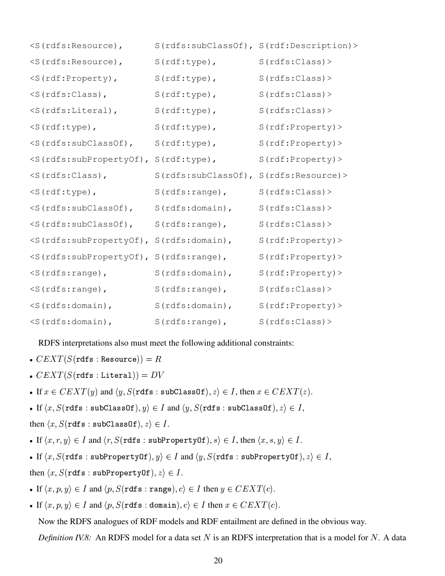| <s(rdfs:resource),< th=""><th></th><th>S(rdfs:subClassOf), S(rdf:Description)&gt;</th></s(rdfs:resource),<>            |                        | S(rdfs:subClassOf), S(rdf:Description)> |
|------------------------------------------------------------------------------------------------------------------------|------------------------|-----------------------------------------|
| <s(rdfs:resource),< td=""><td><math>S(rdf:type)</math>,</td><td>S(rdfs:Class)</td></s(rdfs:resource),<>                | $S(rdf:type)$ ,        | S(rdfs:Class)                           |
| <s(rdf:property),< td=""><td><math>S(rdf:type)</math>,</td><td>S(rdfs:Class)</td></s(rdf:property),<>                  | $S(rdf:type)$ ,        | S(rdfs:Class)                           |
| $<$ S(rdfs:Class),                                                                                                     | $S(rdf:type)$ ,        | S(rdfs:Class)                           |
| <s(rdfs:literal),< td=""><td><math>S(rdf:type)</math>,</td><td>S(rdfs:Class)</td></s(rdfs:literal),<>                  | $S(rdf:type)$ ,        | S(rdfs:Class)                           |
| $<$ S(rdf:type),                                                                                                       | $S(rdf:type)$ ,        | S(rdf:Property)                         |
| <s(rdfs:subclassof),< td=""><td><math>S(rdf:type)</math>,</td><td>S(rdf:Property)</td></s(rdfs:subclassof),<>          | $S(rdf:type)$ ,        | S(rdf:Property)                         |
| <s(rdfs:subpropertyof), s(rdf:type),<="" td=""><td></td><td>S(rdf:Property)</td></s(rdfs:subpropertyof),>              |                        | S(rdf:Property)                         |
| $<$ S(rdfs:Class),                                                                                                     | $S(rdfs:subClassOf)$ , | S(rdfs;Resource)                        |
| <s(rdf:type),< td=""><td><math>S(rdfs:range)</math>,</td><td>S(rdfs:Class)</td></s(rdf:type),<>                        | $S(rdfs:range)$ ,      | S(rdfs:Class)                           |
| <s(rdfs:subclassof),< td=""><td><math>S(rdfs:domain)</math>,</td><td>S(rdfs:Class)</td></s(rdfs:subclassof),<>         | $S(rdfs:domain)$ ,     | S(rdfs:Class)                           |
| <s(rdfs:subclassof),< td=""><td><math>S(rdfs:range)</math>,</td><td>S(rdfs:Class)</td></s(rdfs:subclassof),<>          | $S(rdfs:range)$ ,      | S(rdfs:Class)                           |
| <s(rdfs:subpropertyof),< td=""><td><math>S(rdfs:domain)</math>,</td><td>S(rdf:Property)</td></s(rdfs:subpropertyof),<> | $S(rdfs:domain)$ ,     | S(rdf:Property)                         |
| <s(rdfs:subpropertyof),< td=""><td><math>S(rdfs:range)</math>,</td><td>S(rdf:Property)</td></s(rdfs:subpropertyof),<>  | $S(rdfs:range)$ ,      | S(rdf:Property)                         |
| $<$ S(rdfs: range),                                                                                                    | $S(rdfs:domain)$ ,     | S(rdf:Property)                         |
| $<$ S(rdfs: range),                                                                                                    | $S(rdfs:range)$ ,      | S(rdfs:Class)                           |
| $<$ S(rdfs:domain),                                                                                                    | $S(rdfs:domain)$ ,     | S(rdf:Property)                         |
| $<$ S(rdfs:domain),                                                                                                    | $S(rdfs:range)$ ,      | S(rdfs:Class)                           |

RDFS interpretations also must meet the following additional constraints:

- $\bullet$   $CEXT(S(rdfs:Resource))=R$
- $\bullet$   $CEXT(S(\texttt{rdfs:literal})) = DV$
- If  $x \in CEXT(y)$  and  $\langle y, S(\texttt{rdfs} :$  $S(\texttt{rdfs:subClassOf}), z\rangle \in I,$  then  $x \in CEXT(z).$
- $\bullet$  If  $\langle x, S({\tt rdfs:subClassOf}), y \rangle \in I$  and  $\langle y, S({\tt rdfs:}$  $S(\mathtt{rdfs:subClassOf}), z\rangle \in I,$

then  $\langle x, S({\tt rdfs:subClassOf}), z \rangle \in I.$ 

- If  $\langle x, r, y \rangle \in I$  and  $\langle r, S(\text{rdfs}) \rangle$  $S({\tt rdfs:subPropertyOf}), s \rangle \in I,$  then  $\langle x, s, y \rangle \in I.$
- If  $\langle x, S({\tt rdfs:subPropertyOf}), y \rangle \in I$  and  $\langle y, S({\tt rdfs:}$  $S({\tt rdfs:subPropertyOf}), z\rangle \in I,$ then  $\langle x, S({\tt rdfs:subPropertyOf}), z \rangle \in I.$
- $\bullet$  If  $\langle x,p,y\rangle \in I$  and  $\langle p,S({\tt rdfs:1})$  $S(\texttt{rdfs}:\texttt{range}),c\rangle \in I$  then  $y \in CEXT(c).$
- $\blacksquare$  If  $\langle x,p,y\rangle \in I$  and  $\langle p,S(\texttt{rdfs:q})\rangle$  $S(\texttt{rdfs:domain}), c \rangle \in I$  then  $x \in CEXT(c).$

Now the RDFS analogues of RDF models and RDF entailment are defined in the obvious way.

*Definition IV.8:* An RDFS model for a data set  $N$  is an RDFS interpretation that is a model for  $N$ . A data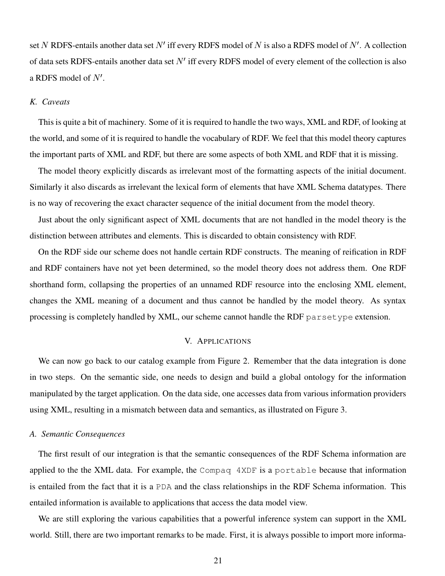set N RDFS-entails another data set N' iff every RDFS model of N is also a RDFS model of N'. A collection of data sets RDFS-entails another data set  $N'$  iff every RDFS model of every element of the collection is also a RDFS model of  $N'$ .

# *K. Caveats*

This is quite a bit of machinery. Some of it is required to handle the two ways, XML and RDF, of looking at the world, and some of it is required to handle the vocabulary of RDF. We feel that this model theory captures the important parts of XML and RDF, but there are some aspects of both XML and RDF that it is missing.

The model theory explicitly discards as irrelevant most of the formatting aspects of the initial document. Similarly it also discards as irrelevant the lexical form of elements that have XML Schema datatypes. There is no way of recovering the exact character sequence of the initial document from the model theory.

Just about the only significant aspect of XML documents that are not handled in the model theory is the distinction between attributes and elements. This is discarded to obtain consistency with RDF.

On the RDF side our scheme does not handle certain RDF constructs. The meaning of reification in RDF and RDF containers have not yet been determined, so the model theory does not address them. One RDF shorthand form, collapsing the properties of an unnamed RDF resource into the enclosing XML element, changes the XML meaning of a document and thus cannot be handled by the model theory. As syntax processing is completely handled by XML, our scheme cannot handle the RDF parsetype extension.

# V. APPLICATIONS

We can now go back to our catalog example from Figure 2. Remember that the data integration is done in two steps. On the semantic side, one needs to design and build a global ontology for the information manipulated by the target application. On the data side, one accesses data from various information providers using XML, resulting in a mismatch between data and semantics, as illustrated on Figure 3.

## *A. Semantic Consequences*

The first result of our integration is that the semantic consequences of the RDF Schema information are applied to the the XML data. For example, the Compaq 4XDF is a portable because that information is entailed from the fact that it is a PDA and the class relationships in the RDF Schema information. This entailed information is available to applications that access the data model view.

We are still exploring the various capabilities that a powerful inference system can support in the XML world. Still, there are two important remarks to be made. First, it is always possible to import more informa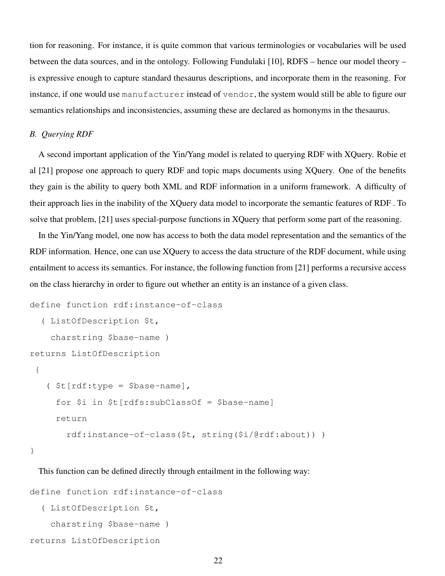tion for reasoning. For instance, it is quite common that various terminologies or vocabularies will be used between the data sources, and in the ontology. Following Fundulaki [10], RDFS – hence our model theory – is expressive enough to capture standard thesaurus descriptions, and incorporate them in the reasoning. For instance, if one would use manufacturer instead of vendor, the system would still be able to figure our semantics relationships and inconsistencies, assuming these are declared as homonyms in the thesaurus.

# *B. Querying RDF*

A second important application of the Yin/Yang model is related to querying RDF with XQuery. Robie et al [21] propose one approach to query RDF and topic maps documents using XQuery. One of the benefits they gain is the ability to query both XML and RDF information in a uniform framework. A difficulty of their approach lies in the inability of the XQuery data model to incorporate the semantic features of RDF . To solve that problem, [21] uses special-purpose functions in XQuery that perform some part of the reasoning.

In the Yin/Yang model, one now has access to both the data model representation and the semantics of the RDF information. Hence, one can use XQuery to access the data structure of the RDF document, while using entailment to access its semantics. For instance, the following function from [21] performs a recursive access on the class hierarchy in order to figure out whether an entity is an instance of a given class.

```
define function rdf:instance-of-class
  ( ListOfDescription $t,
    charstring $base-name )
returns ListOfDescription
 {
   ( $t[rdf:type = $base-name],
     for $i in $t[rdfs:subClassOf = $base-name]
     return
       rdf:instance-of-class($t, string($i/@rdf:about)) )
}
```
This function can be defined directly through entailment in the following way:

```
define function rdf:instance-of-class
  ( ListOfDescription $t,
    charstring $base-name )
returns ListOfDescription
```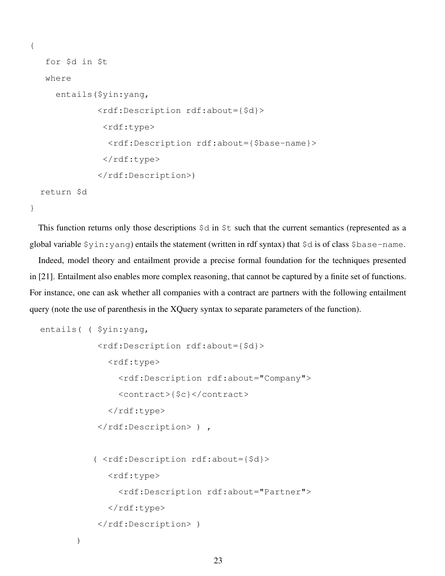```
{
  for $d in $t
  where
    entails($yin:yang,
             <rdf:Description rdf:about={$d}>
              <rdf:type>
               <rdf:Description rdf:about={$base-name}>
              </rdf:type>
             </rdf:Description>)
 return $d
```

```
}
```
This function returns only those descriptions \$d in \$t such that the current semantics (represented as a global variable \$yin:yang) entails the statement (written in rdf syntax) that \$d is of class \$base-name.

Indeed, model theory and entailment provide a precise formal foundation for the techniques presented in [21]. Entailment also enables more complex reasoning, that cannot be captured by a finite set of functions. For instance, one can ask whether all companies with a contract are partners with the following entailment query (note the use of parenthesis in the XQuery syntax to separate parameters of the function).

```
entails( ( $yin:yang,
           <rdf:Description rdf:about={$d}>
             <rdf:type>
               <rdf:Description rdf:about="Company">
               <contract>{$c}</contract>
             </rdf:type>
           </rdf:Description> ) ,
          ( <rdf:Description rdf:about={$d}>
             <rdf:type>
               <rdf:Description rdf:about="Partner">
             </rdf:type>
           </rdf:Description> )
       )
```
23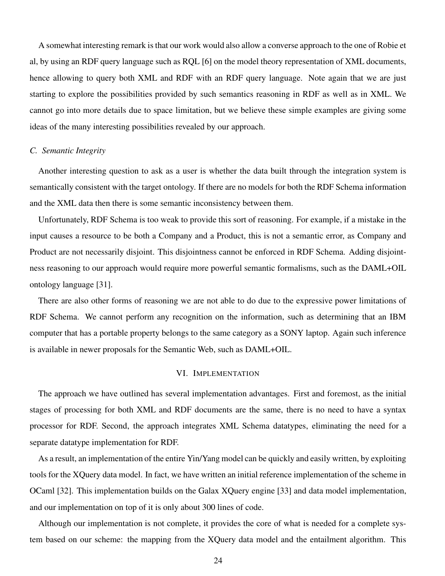A somewhat interesting remark isthat our work would also allow a converse approach to the one of Robie et al, by using an RDF query language such as RQL [6] on the model theory representation of XML documents, hence allowing to query both XML and RDF with an RDF query language. Note again that we are just starting to explore the possibilities provided by such semantics reasoning in RDF as well as in XML. We cannot go into more details due to space limitation, but we believe these simple examples are giving some ideas of the many interesting possibilities revealed by our approach.

# *C. Semantic Integrity*

Another interesting question to ask as a user is whether the data built through the integration system is semantically consistent with the target ontology. If there are no models for both the RDF Schema information and the XML data then there is some semantic inconsistency between them.

Unfortunately, RDF Schema is too weak to provide this sort of reasoning. For example, if a mistake in the input causes a resource to be both a Company and a Product, this is not a semantic error, as Company and Product are not necessarily disjoint. This disjointness cannot be enforced in RDF Schema. Adding disjointness reasoning to our approach would require more powerful semantic formalisms, such as the DAML+OIL ontology language [31].

There are also other forms of reasoning we are not able to do due to the expressive power limitations of RDF Schema. We cannot perform any recognition on the information, such as determining that an IBM computer that has a portable property belongs to the same category as a SONY laptop. Again such inference is available in newer proposals for the Semantic Web, such as DAML+OIL.

# VI. IMPLEMENTATION

The approach we have outlined has several implementation advantages. First and foremost, as the initial stages of processing for both XML and RDF documents are the same, there is no need to have a syntax processor for RDF. Second, the approach integrates XML Schema datatypes, eliminating the need for a separate datatype implementation for RDF.

As a result, an implementation of the entire Yin/Yang model can be quickly and easily written, by exploiting tools for the XQuery data model. In fact, we have written an initial reference implementation of the scheme in OCaml [32]. This implementation builds on the Galax XQuery engine [33] and data model implementation, and our implementation on top of it is only about 300 lines of code.

Although our implementation is not complete, it provides the core of what is needed for a complete system based on our scheme: the mapping from the XQuery data model and the entailment algorithm. This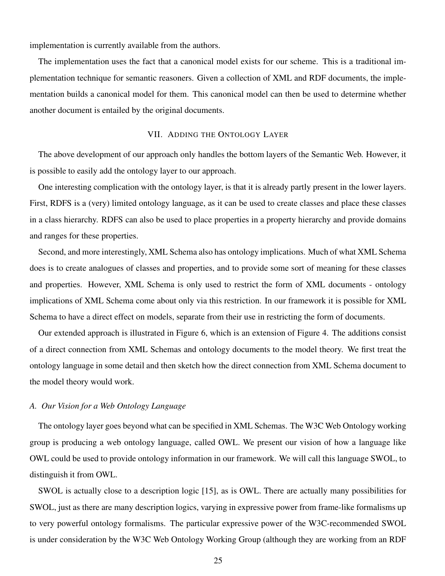implementation is currently available from the authors.

The implementation uses the fact that a canonical model exists for our scheme. This is a traditional implementation technique for semantic reasoners. Given a collection of XML and RDF documents, the implementation builds a canonical model for them. This canonical model can then be used to determine whether another document is entailed by the original documents.

## VII. ADDING THE ONTOLOGY LAYER

The above development of our approach only handles the bottom layers of the Semantic Web. However, it is possible to easily add the ontology layer to our approach.

One interesting complication with the ontology layer, is that it is already partly present in the lower layers. First, RDFS is a (very) limited ontology language, as it can be used to create classes and place these classes in a class hierarchy. RDFS can also be used to place properties in a property hierarchy and provide domains and ranges for these properties.

Second, and more interestingly, XML Schema also has ontology implications. Much of what XML Schema does is to create analogues of classes and properties, and to provide some sort of meaning for these classes and properties. However, XML Schema is only used to restrict the form of XML documents - ontology implications of XML Schema come about only via this restriction. In our framework it is possible for XML Schema to have a direct effect on models, separate from their use in restricting the form of documents.

Our extended approach is illustrated in Figure 6, which is an extension of Figure 4. The additions consist of a direct connection from XML Schemas and ontology documents to the model theory. We first treat the ontology language in some detail and then sketch how the direct connection from XML Schema document to the model theory would work.

# *A. Our Vision for a Web Ontology Language*

The ontology layer goes beyond what can be specified in XML Schemas. The W3C Web Ontology working group is producing a web ontology language, called OWL. We present our vision of how a language like OWL could be used to provide ontology information in our framework. We will call this language SWOL, to distinguish it from OWL.

SWOL is actually close to a description logic [15], as is OWL. There are actually many possibilities for SWOL, just as there are many description logics, varying in expressive power from frame-like formalisms up to very powerful ontology formalisms. The particular expressive power of the W3C-recommended SWOL is under consideration by the W3C Web Ontology Working Group (although they are working from an RDF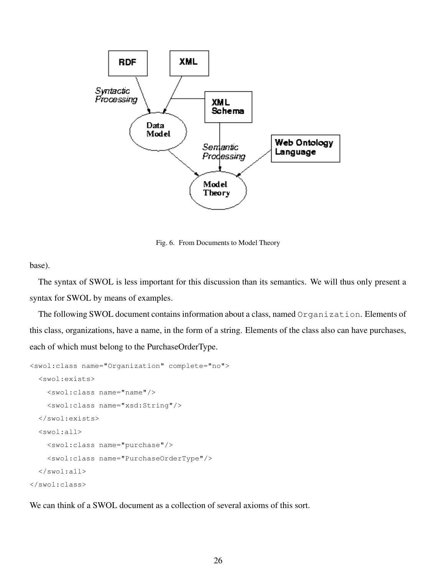

Fig. 6. From Documents to Model Theory

base).

The syntax of SWOL is less important for this discussion than its semantics. We will thus only present a syntax for SWOL by means of examples.

The following SWOL document contains information about a class, named Organization. Elements of this class, organizations, have a name, in the form of a string. Elements of the class also can have purchases, each of which must belong to the PurchaseOrderType.

```
<swol:class name="Organization" complete="no">
  <swol:exists>
    <swol:class name="name"/>
    <swol:class name="xsd:String"/>
  </swol:exists>
  <swol:all>
    <swol:class name="purchase"/>
    <swol:class name="PurchaseOrderType"/>
  </swol:all>
</swol:class>
```
We can think of a SWOL document as a collection of several axioms of this sort.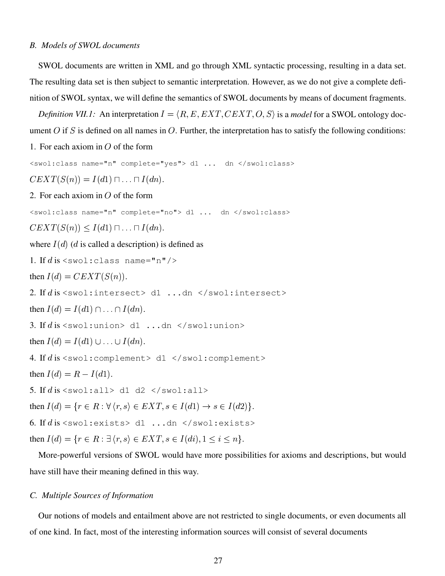## *B. Models of SWOL documents*

SWOL documents are written in XML and go through XML syntactic processing, resulting in a data set. The resulting data set is then subject to semantic interpretation. However, as we do not give a complete definition of SWOL syntax, we will define the semantics of SWOL documents by means of document fragments.

*Definition VII.1:* An interpretation  $I = \langle R, E, EXT, CEXT, O, S \rangle$  is a *model* for a SWOL ontology document  $O$  if  $S$  is defined on all names in  $O$ . Further, the interpretation has to satisfy the following conditions:

1. For each axiom in  $O$  of the form

```
<swol:class name="n" complete="yes"> d1 ... dn </swol:class>
CEXT(S(n))=I(d1)\sqcap\ldots\sqcap I(dn).
```
2. For each axiom in  $O$  of the form

<swol:class name="n" complete="no"> d1 ... dn </swol:class>

 $CEXT(S(n))\leq I(d1)\sqcap\ldots\sqcap I(dn).$ 

where  $I(d)$  (d is called a description) is defined as

1. If  $d$  is  $\leq$  swol: class name="n"/> then  $I(d) = CEXT(S(n)).$ 2. If  $d$  is <swol: intersect> d1 ...dn </swol: intersect> then  $I(d) = I(d1) \cap ... \cap I(dn)$ . 3. If  $d$  is  $\leq$  swol:union> d1 ...dn  $\leq$  swol:union> then  $I(d) = I(d1) \cup ... \cup I(dn)$ . 4. If  $d$  is  $\leq$  swol: complement> d1  $\leq$ /swol: complement> then  $I(d) = R - I(d1)$ . 5. If  $d$  is  $\langle \text{swol:all}\rangle$  d1 d2  $\langle \text{swol:all}\rangle$ then  $I(d) = \{r \in R : \forall \langle r, s \rangle \in EXT, s \in I(d1) \rightarrow s \in I(d2) \}.$ 6. If  $d$  is <swol: exists> d1 ...dn </swol: exists> then  $I(d) = \{r \in R : \exists \langle r, s \rangle \in EXT, s \in I(di), 1 \leq i \leq n\}.$ 

More-powerful versions of SWOL would have more possibilities for axioms and descriptions, but would have still have their meaning defined in this way.

## *C. Multiple Sources of Information*

Our notions of models and entailment above are not restricted to single documents, or even documents all of one kind. In fact, most of the interesting information sources will consist of several documents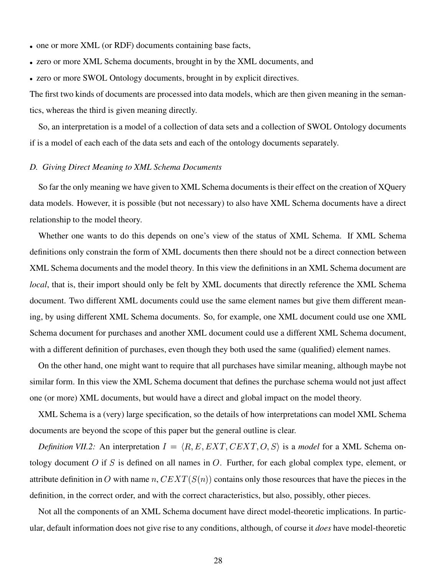- -one or more XML (or RDF) documents containing base facts,
- zero or more XML Schema documents, brought in by the XML documents, and

- zero or more SWOL Ontology documents, brought in by explicit directives.

The first two kinds of documents are processed into data models, which are then given meaning in the semantics, whereas the third is given meaning directly.

So, an interpretation is a model of a collection of data sets and a collection of SWOL Ontology documents if is a model of each each of the data sets and each of the ontology documents separately.

#### *D. Giving Direct Meaning to XML Schema Documents*

So far the only meaning we have given to XML Schema documentsis their effect on the creation of XQuery data models. However, it is possible (but not necessary) to also have XML Schema documents have a direct relationship to the model theory.

Whether one wants to do this depends on one's view of the status of XML Schema. If XML Schema definitions only constrain the form of XML documents then there should not be a direct connection between XML Schema documents and the model theory. In this view the definitions in an XML Schema document are *local*, that is, their import should only be felt by XML documents that directly reference the XML Schema document. Two different XML documents could use the same element names but give them different meaning, by using different XML Schema documents. So, for example, one XML document could use one XML Schema document for purchases and another XML document could use a different XML Schema document, with a different definition of purchases, even though they both used the same (qualified) element names.

On the other hand, one might want to require that all purchases have similar meaning, although maybe not similar form. In this view the XML Schema document that defines the purchase schema would not just affect one (or more) XML documents, but would have a direct and global impact on the model theory.

XML Schema is a (very) large specification, so the details of how interpretations can model XML Schema documents are beyond the scope of this paper but the general outline is clear.

*Definition VII.2:* An interpretation  $I = \langle R, E, EXT, CEXT, O, S \rangle$  is a *model* for a XML Schema ontology document  $O$  if  $S$  is defined on all names in  $O$ . Further, for each global complex type, element, or attribute definition in O with name n,  $CEXT(S(n))$  contains only those resources that have the pieces in the definition, in the correct order, and with the correct characteristics, but also, possibly, other pieces.

Not all the components of an XML Schema document have direct model-theoretic implications. In particular, default information does not give rise to any conditions, although, of course it *does* have model-theoretic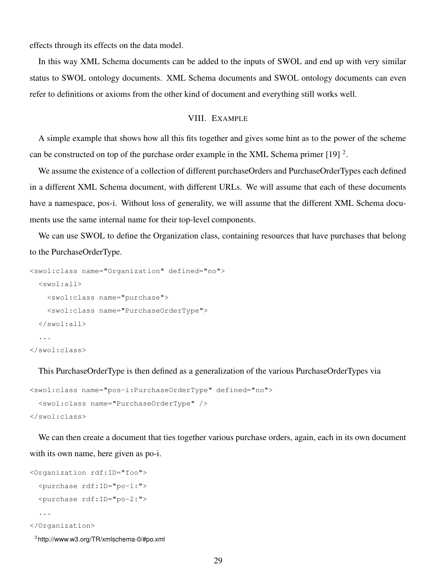effects through its effects on the data model.

In this way XML Schema documents can be added to the inputs of SWOL and end up with very similar status to SWOL ontology documents. XML Schema documents and SWOL ontology documents can even refer to definitions or axioms from the other kind of document and everything still works well.

# VIII. EXAMPLE

A simple example that shows how all this fits together and gives some hint as to the power of the scheme can be constructed on top of the purchase order example in the XML Schema primer [19]  $^2$ .

We assume the existence of a collection of different purchaseOrders and PurchaseOrderTypes each defined in a different XML Schema document, with different URLs. We will assume that each of these documents have a namespace, pos-i. Without loss of generality, we will assume that the different XML Schema documents use the same internal name for their top-level components.

We can use SWOL to define the Organization class, containing resources that have purchases that belong to the PurchaseOrderType.

```
<swol:class name="Organization" defined="no">
  <swol:all>
    <swol:class name="purchase">
    <swol:class name="PurchaseOrderType">
  </swol:all>
  ...
</swol:class>
```
This PurchaseOrderType is then defined as a generalization of the various PurchaseOrderTypes via

```
<swol:class name="pos-i:PurchaseOrderType" defined="no">
  <swol:class name="PurchaseOrderType" />
</swol:class>
```
We can then create a document that ties together various purchase orders, again, each in its own document with its own name, here given as po-i.

```
<Organization rdf:ID="foo">
  <purchase rdf:ID="po-1:">
  <purchase rdf:ID="po-2:">
  ...
</Organization> ×
```
 $h<sup>2</sup>$ http://www.w3.org/TR/xmlschema-0/#po.xml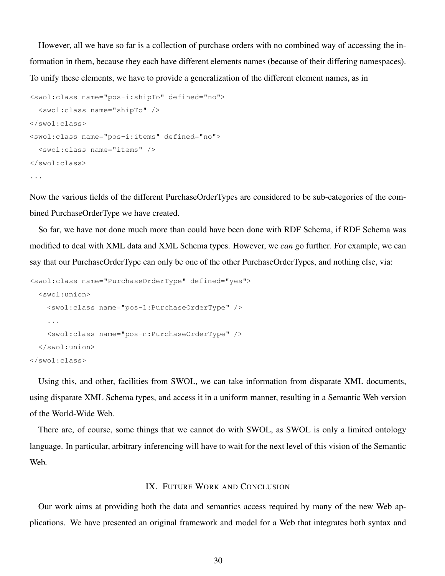However, all we have so far is a collection of purchase orders with no combined way of accessing the information in them, because they each have different elements names (because of their differing namespaces). To unify these elements, we have to provide a generalization of the different element names, as in

```
<swol:class name="pos-i:shipTo" defined="no">
  <swol:class name="shipTo" />
</swol:class>
<swol:class name="pos-i:items" defined="no">
  <swol:class name="items" />
</swol:class>
...
```
Now the various fields of the different PurchaseOrderTypes are considered to be sub-categories of the combined PurchaseOrderType we have created.

So far, we have not done much more than could have been done with RDF Schema, if RDF Schema was modified to deal with XML data and XML Schema types. However, we *can* go further. For example, we can say that our PurchaseOrderType can only be one of the other PurchaseOrderTypes, and nothing else, via:

```
<swol:class name="PurchaseOrderType" defined="yes">
  <swol:union>
    <swol:class name="pos-1:PurchaseOrderType" />
    ...
    <swol:class name="pos-n:PurchaseOrderType" />
  </swol:union>
</swol:class>
```
Using this, and other, facilities from SWOL, we can take information from disparate XML documents, using disparate XML Schema types, and access it in a uniform manner, resulting in a Semantic Web version of the World-Wide Web.

There are, of course, some things that we cannot do with SWOL, as SWOL is only a limited ontology language. In particular, arbitrary inferencing will have to wait for the next level of this vision of the Semantic Web.

# IX. FUTURE WORK AND CONCLUSION

Our work aims at providing both the data and semantics access required by many of the new Web applications. We have presented an original framework and model for a Web that integrates both syntax and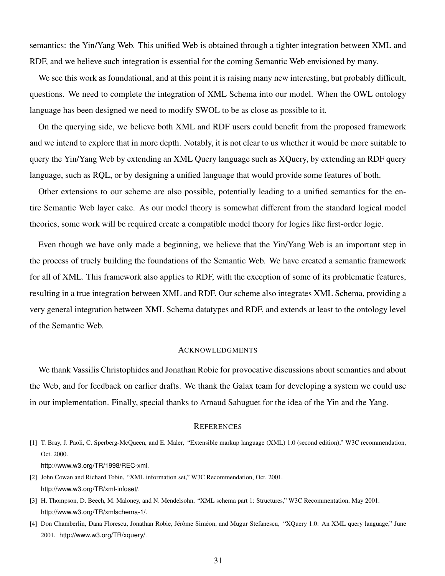semantics: the Yin/Yang Web. This unified Web is obtained through a tighter integration between XML and RDF, and we believe such integration is essential for the coming Semantic Web envisioned by many.

We see this work as foundational, and at this point it is raising many new interesting, but probably difficult, questions. We need to complete the integration of XML Schema into our model. When the OWL ontology language has been designed we need to modify SWOL to be as close as possible to it.

On the querying side, we believe both XML and RDF users could benefit from the proposed framework and we intend to explore that in more depth. Notably, it is not clear to us whether it would be more suitable to query the Yin/Yang Web by extending an XML Query language such as XQuery, by extending an RDF query language, such as RQL, or by designing a unified language that would provide some features of both.

Other extensions to our scheme are also possible, potentially leading to a unified semantics for the entire Semantic Web layer cake. As our model theory is somewhat different from the standard logical model theories, some work will be required create a compatible model theory for logics like first-order logic.

Even though we have only made a beginning, we believe that the Yin/Yang Web is an important step in the process of truely building the foundations of the Semantic Web. We have created a semantic framework for all of XML. This framework also applies to RDF, with the exception of some of its problematic features, resulting in a true integration between XML and RDF. Our scheme also integrates XML Schema, providing a very general integration between XML Schema datatypes and RDF, and extends at least to the ontology level of the Semantic Web.

## ACKNOWLEDGMENTS

We thank Vassilis Christophides and Jonathan Robie for provocative discussions about semantics and about the Web, and for feedback on earlier drafts. We thank the Galax team for developing a system we could use in our implementation. Finally, special thanks to Arnaud Sahuguet for the idea of the Yin and the Yang.

#### **REFERENCES**

[1] T. Bray, J. Paoli, C. Sperberg-McQueen, and E. Maler, "Extensible markup language (XML) 1.0 (second edition)," W3C recommendation, Oct. 2000.

http://www.w3.org/TR/1998/REC-xml.

- [2] John Cowan and Richard Tobin, "XML information set," W3C Recommendation, Oct. 2001. http://www.w3.org/TR/xml-infoset/.
- [3] H. Thompson, D. Beech, M. Maloney, and N. Mendelsohn, "XML schema part 1: Structures," W3C Recommentation, May 2001. http://www.w3.org/TR/xmlschema-1/.
- [4] Don Chamberlin, Dana Florescu, Jonathan Robie, Jérôme Siméon, and Mugur Stefanescu, "XQuery 1.0: An XML query language," June 2001. http://www.w3.org/TR/xquery/.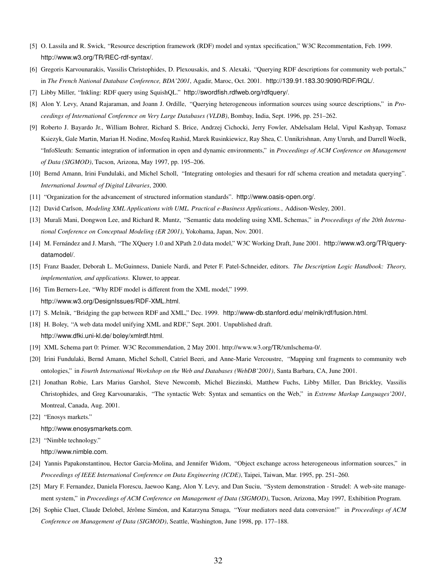- [5] O. Lassila and R. Swick, "Resource description framework (RDF) model and syntax specification," W3C Recommentation, Feb. 1999. http://www.w3.org/TR/REC-rdf-syntax/.
- [6] Gregoris Karvounarakis, Vassilis Christophides, D. Plexousakis, and S. Alexaki, "Querying RDF descriptions for community web portals," in *The French National Database Conference, BDA'2001*, Agadir, Maroc, Oct. 2001. http://139.91.183.30:9090/RDF/RQL/.
- [7] Libby Miller, "Inkling: RDF query using SquishQL." http://swordfish.rdfweb.org/rdfquery/.
- [8] Alon Y. Levy, Anand Rajaraman, and Joann J. Ordille, "Querying heterogeneous information sources using source descriptions," in *Proceedings of International Conference on Very Large Databases (VLDB)*, Bombay, India, Sept. 1996, pp. 251–262.
- [9] Roberto J. Bayardo Jr., William Bohrer, Richard S. Brice, Andrzej Cichocki, Jerry Fowler, Abdelsalam Helal, Vipul Kashyap, Tomasz Ksiezyk, Gale Martin, Marian H. Nodine, Mosfeq Rashid, Marek Rusinkiewicz, Ray Shea, C. Unnikrishnan, Amy Unruh, and Darrell Woelk, "InfoSleuth: Semantic integration of information in open and dynamic environments," in *Proceedings of ACM Conference on Management of Data (SIGMOD)*, Tucson, Arizona, May 1997, pp. 195–206.
- [10] Bernd Amann, Irini Fundulaki, and Michel Scholl, "Integrating ontologies and thesauri for rdf schema creation and metadata querying". *International Journal of Digital Libraries*, 2000.
- [11] "Organization for the advancement of structured information standards". http://www.oasis-open.org/.
- [12] David Carlson, *Modeling XML Applications with UML. Practical e-Business Applications.*, Addison-Wesley, 2001.
- [13] Murali Mani, Dongwon Lee, and Richard R. Muntz, "Semantic data modeling using XML Schemas," in *Proceedings of the 20th International Conference on Conceptual Modeling (ER 2001)*, Yokohama, Japan, Nov. 2001.
- [14] M. Fernández and J. Marsh, "The XQuery 1.0 and XPath 2.0 data model," W3C Working Draft, June 2001. http://www.w3.org/TR/querydatamodel/.
- [15] Franz Baader, Deborah L. McGuinness, Daniele Nardi, and Peter F. Patel-Schneider, editors. *The Description Logic Handbook: Theory, implementation, and applications*. Kluwer, to appear.
- [16] Tim Berners-Lee, "Why RDF model is different from the XML model," 1999. http://www.w3.org/DesignIssues/RDF-XML.html.
- [17] S. Melnik, "Bridging the gap between RDF and XML," Dec. 1999. http://www-db.stanford.edu/ melnik/rdf/fusion.html.
- [18] H. Boley, "A web data model unifying XML and RDF," Sept. 2001. Unpublished draft. http://www.dfki.uni-kl.de/ boley/xmlrdf.html.
- [19] XML Schema part 0: Primer. W3C Recommendation, 2 May 2001. http://www.w3.org/TR/xmlschema-0/.
- [20] Irini Fundulaki, Bernd Amann, Michel Scholl, Catriel Beeri, and Anne-Marie Vercoustre, "Mapping xml fragments to community web ontologies," in *Fourth International Workshop on the Web and Databases (WebDB'2001)*, Santa Barbara, CA, June 2001.
- [21] Jonathan Robie, Lars Marius Garshol, Steve Newcomb, Michel Biezinski, Matthew Fuchs, Libby Miller, Dan Brickley, Vassilis Christophides, and Greg Karvounarakis, "The syntactic Web: Syntax and semantics on the Web," in *Extreme Markup Languages'2001*, Montreal, Canada, Aug. 2001.
- [22] "Enosys markets."

http://www.enosysmarkets.com.

- [23] "Nimble technology." http://www.nimble.com.
- [24] Yannis Papakonstantinou, Hector Garcia-Molina, and Jennifer Widom, "Object exchange across heterogeneous information sources," in *Proceedings of IEEE International Conference on Data Engineering (ICDE)*, Taipei, Taiwan, Mar. 1995, pp. 251–260.
- [25] Mary F. Fernandez, Daniela Florescu, Jaewoo Kang, Alon Y. Levy, and Dan Suciu, "System demonstration Strudel: A web-site management system," in *Proceedings of ACM Conference on Management of Data (SIGMOD)*, Tucson, Arizona, May 1997, Exhibition Program.
- [26] Sophie Cluet, Claude Delobel, Jérôme Siméon, and Katarzyna Smaga, "Your mediators need data conversion!" in *Proceedings of ACM Conference on Management of Data (SIGMOD)*, Seattle, Washington, June 1998, pp. 177–188.